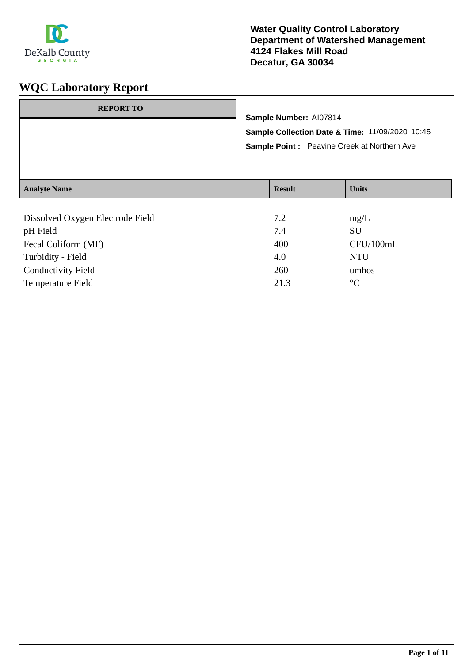

| <b>REPORT TO</b>    | Sample Number: AI07814<br>Sample Point: Peavine Creek at Northern Ave | Sample Collection Date & Time: 11/09/2020 10:45 |
|---------------------|-----------------------------------------------------------------------|-------------------------------------------------|
| <b>Analyte Name</b> | <b>Result</b>                                                         | <b>Units</b>                                    |
|                     |                                                                       |                                                 |

| Dissolved Oxygen Electrode Field | 7.2  | mg/L            |
|----------------------------------|------|-----------------|
| pH Field                         | 7.4  | <b>SU</b>       |
| Fecal Coliform (MF)              | 400  | CFU/100mL       |
| Turbidity - Field                | 4.0  | <b>NTU</b>      |
| <b>Conductivity Field</b>        | 260  | umhos           |
| <b>Temperature Field</b>         | 21.3 | $\rm ^{\circ}C$ |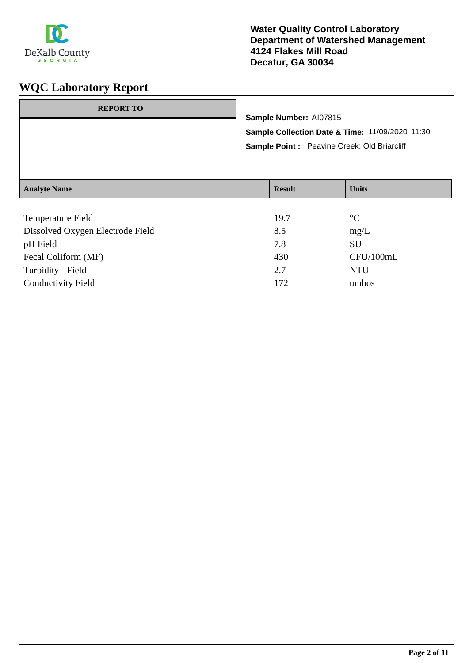

| <b>REPORT TO</b>    |                                                                                                                          |               |              |
|---------------------|--------------------------------------------------------------------------------------------------------------------------|---------------|--------------|
|                     | Sample Number: AI07815<br>Sample Collection Date & Time: 11/09/2020 11:30<br>Sample Point: Peavine Creek: Old Briarcliff |               |              |
| <b>Analyte Name</b> |                                                                                                                          | <b>Result</b> | <b>Units</b> |

| Temperature Field                | 19.7 | $\rm ^{\circ}C$ |
|----------------------------------|------|-----------------|
| Dissolved Oxygen Electrode Field | 8.5  | mg/L            |
| pH Field                         | 7.8  | SU              |
| Fecal Coliform (MF)              | 430  | CFU/100mL       |
| Turbidity - Field                | 2.7  | <b>NTU</b>      |
| <b>Conductivity Field</b>        | 172  | umhos           |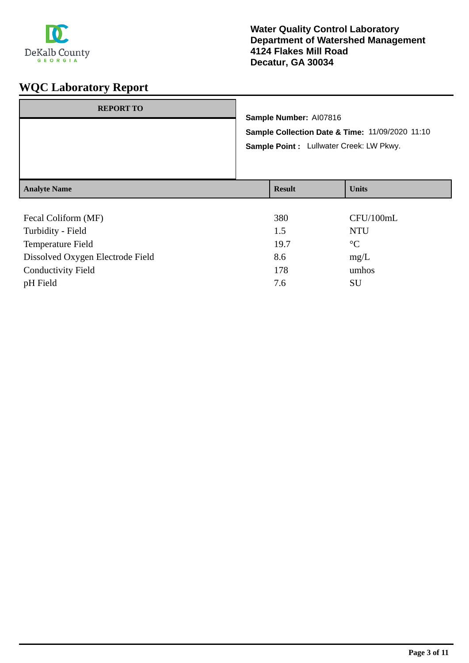

| <b>REPORT TO</b>    | Sample Number: AI07816<br>Sample Point : Lullwater Creek: LW Pkwy. | Sample Collection Date & Time: 11/09/2020 11:10 |
|---------------------|--------------------------------------------------------------------|-------------------------------------------------|
| <b>Analyte Name</b> | <b>Result</b>                                                      | <b>Units</b>                                    |
| Fecal Coliform (MF) | 380                                                                | CFU/100mL                                       |

| JOV. | $CI'$ U/ TVVIIIL |
|------|------------------|
| 1.5  | <b>NTU</b>       |
| 19.7 | $\rm ^{\circ}C$  |
| 8.6  | mg/L             |
| 178  | umhos            |
| 7.6  | SU               |
|      |                  |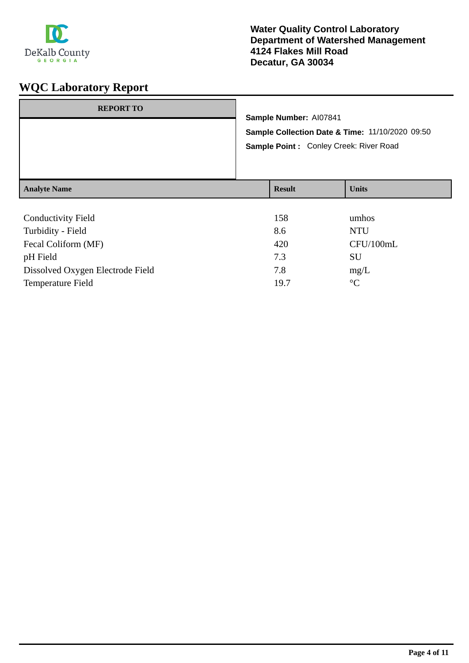

| <b>REPORT TO</b>    |                                                                                            | Sample Number: AI07841 |              |
|---------------------|--------------------------------------------------------------------------------------------|------------------------|--------------|
|                     | Sample Collection Date & Time: 11/10/2020 09:50<br>Sample Point : Conley Creek: River Road |                        |              |
| <b>Analyte Name</b> |                                                                                            | <b>Result</b>          | <b>Units</b> |
| Conductivity Field  |                                                                                            | 158                    | umhos        |

| <b>Conductivity Field</b>        | 158  | umhos           |
|----------------------------------|------|-----------------|
| Turbidity - Field                | 8.6  | <b>NTU</b>      |
| Fecal Coliform (MF)              | 420  | CFU/100mL       |
| pH Field                         | 7.3  | SU              |
| Dissolved Oxygen Electrode Field | 7.8  | mg/L            |
| Temperature Field                | 19.7 | $\rm ^{\circ}C$ |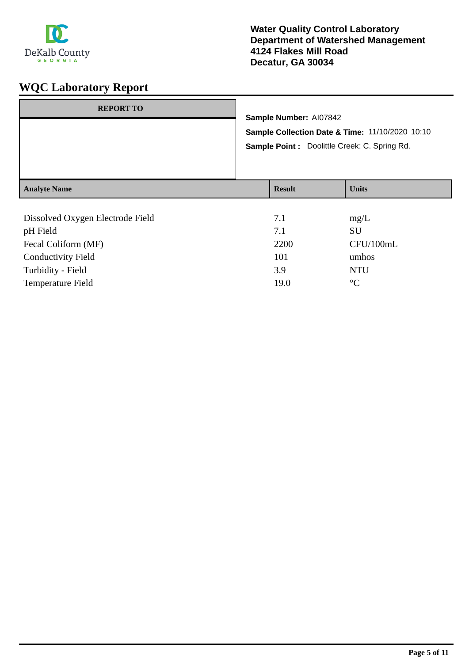

| <b>REPORT TO</b>    | Sample Number: AI07842<br>Sample Point : Doolittle Creek: C. Spring Rd. | Sample Collection Date & Time: 11/10/2020 10:10 |
|---------------------|-------------------------------------------------------------------------|-------------------------------------------------|
| <b>Analyte Name</b> | <b>Result</b>                                                           | <b>Units</b>                                    |
|                     |                                                                         |                                                 |

| Dissolved Oxygen Electrode Field | 7.1  | mg/L            |
|----------------------------------|------|-----------------|
| pH Field                         | 7.1  | SU              |
| Fecal Coliform (MF)              | 2200 | CFU/100mL       |
| <b>Conductivity Field</b>        | 101  | umhos           |
| Turbidity - Field                | 3.9  | <b>NTU</b>      |
| <b>Temperature Field</b>         | 19.0 | $\rm ^{\circ}C$ |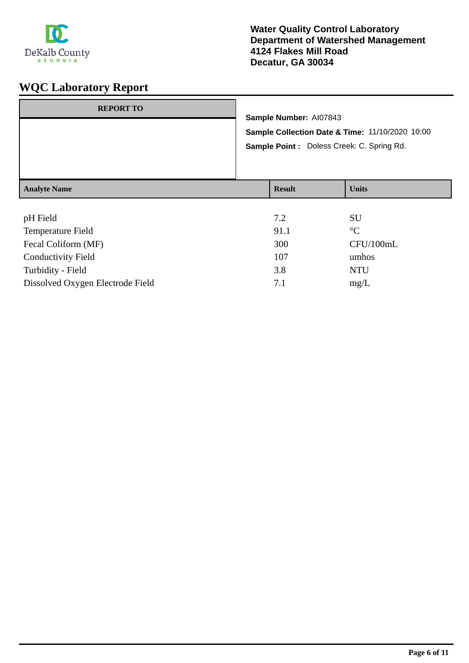

| <b>Analyte Name</b> |                                                                                               | <b>Result</b> | <b>Units</b> |
|---------------------|-----------------------------------------------------------------------------------------------|---------------|--------------|
|                     | Sample Collection Date & Time: 11/10/2020 10:00<br>Sample Point : Doless Creek: C. Spring Rd. |               |              |
| <b>REPORT TO</b>    | Sample Number: AI07843                                                                        |               |              |
|                     |                                                                                               |               |              |

| pH Field                         | 7.2  | <b>SU</b>       |
|----------------------------------|------|-----------------|
| <b>Temperature Field</b>         | 91.1 | $\rm ^{\circ}C$ |
| Fecal Coliform (MF)              | 300  | CFU/100mL       |
| <b>Conductivity Field</b>        | 107  | umhos           |
| Turbidity - Field                | 3.8  | <b>NTU</b>      |
| Dissolved Oxygen Electrode Field | 7.1  | mg/L            |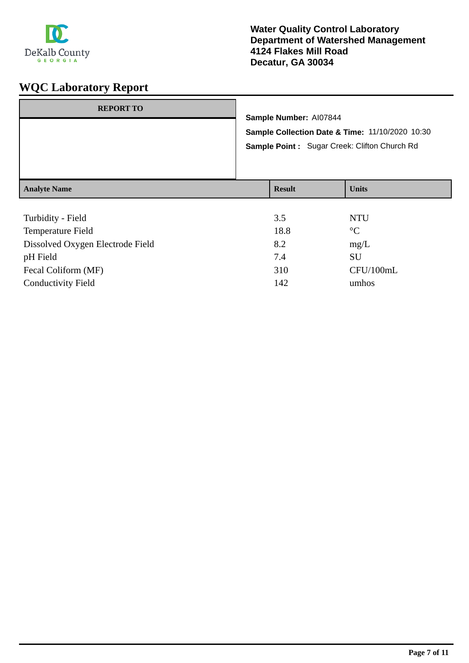

| <b>REPORT TO</b>    | Sample Number: AI07844<br>Sample Collection Date & Time: 11/10/2020 10:30<br>Sample Point: Sugar Creek: Clifton Church Rd |              |  |
|---------------------|---------------------------------------------------------------------------------------------------------------------------|--------------|--|
| <b>Analyte Name</b> | <b>Result</b>                                                                                                             | <b>Units</b> |  |

| Turbidity - Field                | 3.5  | <b>NTU</b>      |
|----------------------------------|------|-----------------|
| <b>Temperature Field</b>         | 18.8 | $\rm ^{\circ}C$ |
| Dissolved Oxygen Electrode Field | 8.2  | mg/L            |
| pH Field                         | 7.4  | SU              |
| Fecal Coliform (MF)              | 310  | CFU/100mL       |
| <b>Conductivity Field</b>        | 142  | umhos           |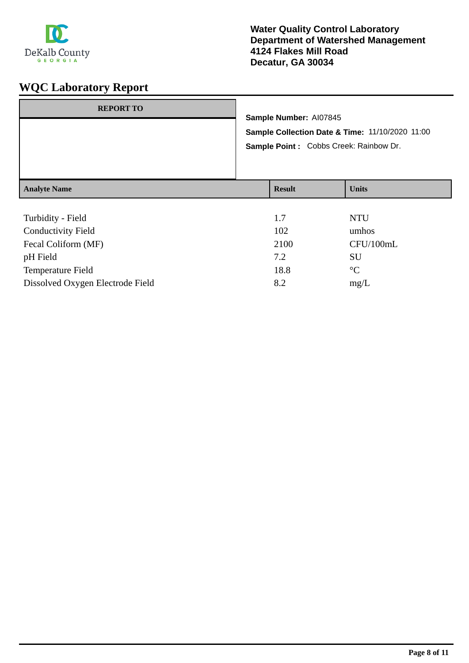

| <b>REPORT TO</b>                               | Sample Number: AI07845<br>Sample Collection Date & Time: 11/10/2020 11:00<br>Sample Point : Cobbs Creek: Rainbow Dr. |               |                     |
|------------------------------------------------|----------------------------------------------------------------------------------------------------------------------|---------------|---------------------|
| <b>Analyte Name</b>                            |                                                                                                                      | <b>Result</b> | <b>Units</b>        |
| Turbidity - Field<br><b>Conductivity Field</b> |                                                                                                                      | 1.7<br>102    | <b>NTU</b><br>umhos |

| Fecal Coliform (MF)              | 2100 | CFU/100mL      |
|----------------------------------|------|----------------|
| pH Field                         | 7.2  | SU             |
| <b>Temperature Field</b>         | 18.8 | $\circ$ $\cap$ |
| Dissolved Oxygen Electrode Field | 8.2  | mg/L           |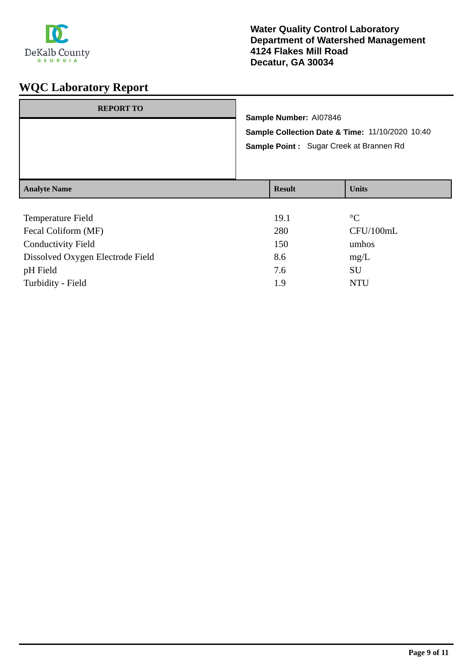

| <b>REPORT TO</b>    |                                                                           |                 |  |
|---------------------|---------------------------------------------------------------------------|-----------------|--|
|                     | Sample Number: AI07846<br>Sample Collection Date & Time: 11/10/2020 10:40 |                 |  |
|                     |                                                                           |                 |  |
|                     | Sample Point: Sugar Creek at Brannen Rd                                   |                 |  |
|                     |                                                                           |                 |  |
|                     |                                                                           |                 |  |
| <b>Analyte Name</b> | <b>Result</b>                                                             | <b>Units</b>    |  |
|                     |                                                                           |                 |  |
| Temperature Field   | 19.1                                                                      | $\rm ^{\circ}C$ |  |

| CFU/100mL |
|-----------|
|           |
| umhos     |
| mg/L      |
| SU        |
| NTU       |
|           |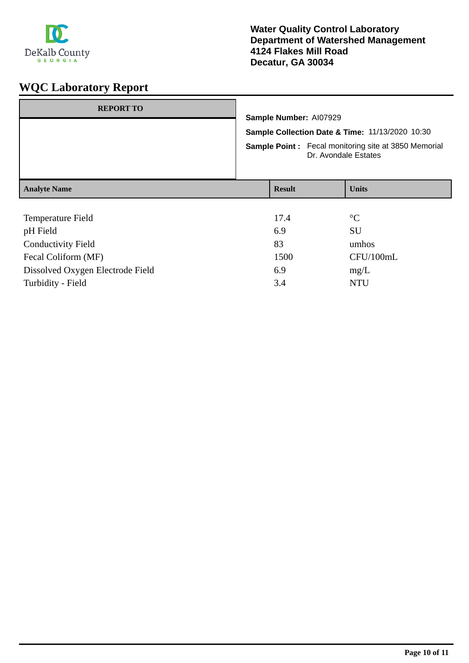

| <b>REPORT TO</b>          |                                                                                                                                                                  |  |                 |
|---------------------------|------------------------------------------------------------------------------------------------------------------------------------------------------------------|--|-----------------|
|                           | Sample Number: AI07929<br>Sample Collection Date & Time: 11/13/2020 10:30<br><b>Sample Point:</b> Fecal monitoring site at 3850 Memorial<br>Dr. Avondale Estates |  |                 |
|                           |                                                                                                                                                                  |  |                 |
|                           |                                                                                                                                                                  |  |                 |
| <b>Analyte Name</b>       | <b>Result</b>                                                                                                                                                    |  | <b>Units</b>    |
|                           |                                                                                                                                                                  |  |                 |
| Temperature Field         | 17.4                                                                                                                                                             |  | $\rm ^{\circ}C$ |
| pH Field                  | 6.9                                                                                                                                                              |  | SU              |
| <b>Conductivity Field</b> | 83                                                                                                                                                               |  | umhos           |
| Fecal Coliform (MF)       | 1500                                                                                                                                                             |  | CFU/100mL       |

Dissolved Oxygen Electrode Field 6.9 mg/L Turbidity - Field NTU